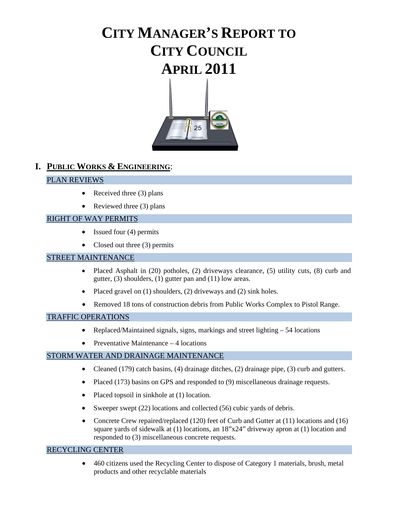# **CITY MANAGER'S REPORT TO CITY COUNCIL APRIL 2011**



### **I. PUBLIC WORKS & ENGINEERING**:

### PLAN REVIEWS

- Received three  $(3)$  plans
- Reviewed three  $(3)$  plans

### RIGHT OF WAY PERMITS

- Issued four (4) permits
- Closed out three (3) permits

### STREET MAINTENANCE

- Placed Asphalt in (20) potholes, (2) driveways clearance, (5) utility cuts, (8) curb and gutter, (3) shoulders, (1) gutter pan and (11) low areas.
- Placed gravel on  $(1)$  shoulders,  $(2)$  driveways and  $(2)$  sink holes.
- Removed 18 tons of construction debris from Public Works Complex to Pistol Range.

#### TRAFFIC OPERATIONS

- Replaced/Maintained signals, signs, markings and street lighting 54 locations
- Preventative Maintenance 4 locations

### STORM WATER AND DRAINAGE MAINTENANCE

- Cleaned (179) catch basins, (4) drainage ditches, (2) drainage pipe, (3) curb and gutters.
- Placed (173) basins on GPS and responded to (9) miscellaneous drainage requests.
- Placed topsoil in sinkhole at (1) location.
- Sweeper swept (22) locations and collected (56) cubic yards of debris.
- Concrete Crew repaired/replaced (120) feet of Curb and Gutter at (11) locations and (16) square yards of sidewalk at (1) locations, an 18"x24" driveway apron at (1) location and responded to (3) miscellaneous concrete requests.

#### RECYCLING CENTER

• 460 citizens used the Recycling Center to dispose of Category 1 materials, brush, metal products and other recyclable materials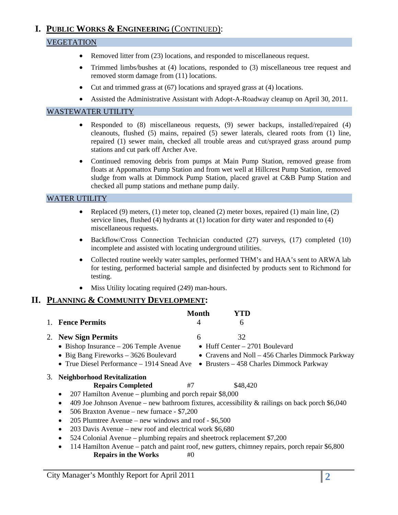## **I. PUBLIC WORKS & ENGINEERING** (CONTINUED):

### VEGETATION

- Removed litter from (23) locations, and responded to miscellaneous request.
- Trimmed limbs/bushes at (4) locations, responded to (3) miscellaneous tree request and removed storm damage from (11) locations.
- Cut and trimmed grass at (67) locations and sprayed grass at (4) locations.
- Assisted the Administrative Assistant with Adopt-A-Roadway cleanup on April 30, 2011.

#### WASTEWATER UTILITY

- Responded to (8) miscellaneous requests, (9) sewer backups, installed/repaired (4) cleanouts, flushed (5) mains, repaired (5) sewer laterals, cleared roots from (1) line, repaired (1) sewer main, checked all trouble areas and cut/sprayed grass around pump stations and cut park off Archer Ave.
- Continued removing debris from pumps at Main Pump Station, removed grease from floats at Appomattox Pump Station and from wet well at Hillcrest Pump Station, removed sludge from walls at Dimmock Pump Station, placed gravel at C&B Pump Station and checked all pump stations and methane pump daily.

### WATER UTILITY

- Replaced (9) meters, (1) meter top, cleaned (2) meter boxes, repaired (1) main line, (2) service lines, flushed (4) hydrants at (1) location for dirty water and responded to (4) miscellaneous requests.
- Backflow/Cross Connection Technician conducted (27) surveys, (17) completed (10) incomplete and assisted with locating underground utilities.
- Collected routine weekly water samples, performed THM's and HAA's sent to ARWA lab for testing, performed bacterial sample and disinfected by products sent to Richmond for testing.
- Miss Utility locating required (249) man-hours.

### **II. PLANNING & COMMUNITY DEVELOPMENT:**

|    | <b>Fence Permits</b>                                                                                         | <b>Month</b><br>4 | YTD<br>6                                     |                                                                                               |
|----|--------------------------------------------------------------------------------------------------------------|-------------------|----------------------------------------------|-----------------------------------------------------------------------------------------------|
| 2. | <b>New Sign Permits</b><br>• Bishop Insurance $-206$ Temple Avenue                                           | 6                 | 32<br>$\bullet$ Huff Center - 2701 Boulevard |                                                                                               |
|    | • Big Bang Fireworks $-3626$ Boulevard<br>• True Diesel Performance $-1914$ Snead Ave                        |                   |                                              | • Cravens and Noll – 456 Charles Dimmock Parkway<br>• Brusters $-458$ Charles Dimmock Parkway |
| 3. | <b>Neighborhood Revitalization</b>                                                                           |                   |                                              |                                                                                               |
|    | <b>Repairs Completed</b>                                                                                     | #7                | \$48,420                                     |                                                                                               |
|    | 207 Hamilton Avenue – plumbing and porch repair \$8,000                                                      |                   |                                              |                                                                                               |
|    | 409 Joe Johnson Avenue – new bathroom fixtures, accessibility & railings on back porch $$6,040$<br>$\bullet$ |                   |                                              |                                                                                               |
|    | 506 Braxton Avenue – new furnace - \$7,200<br>$\bullet$                                                      |                   |                                              |                                                                                               |
|    | 205 Plumtree Avenue – new windows and roof - \$6,500                                                         |                   |                                              |                                                                                               |
|    | 203 Davis Avenue – new roof and electrical work \$6,680<br>$\bullet$                                         |                   |                                              |                                                                                               |
|    | 524 Colonial Avenue – plumbing repairs and sheetrock replacement \$7,200<br>$\bullet$                        |                   |                                              |                                                                                               |
|    | 114 Hamilton, Arrange - motols and naint usef more authors, alsings are nonaine manals nonain CC 000         |                   |                                              |                                                                                               |

• 114 Hamilton Avenue – patch and paint roof, new gutters, chimney repairs, porch repair \$6,800 **Repairs in the Works** #0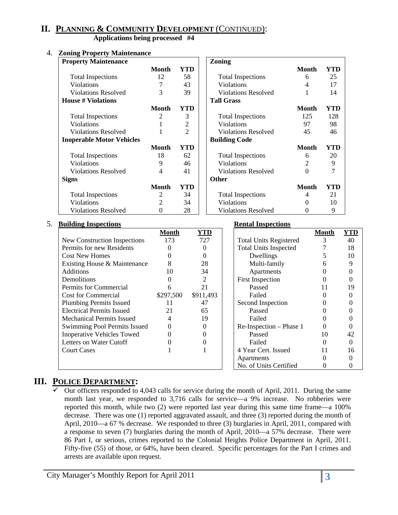### **II. PLANNING & COMMUNITY DEVELOPMENT** (CONTINUED):

**Applications being processed #4** 

#### 4. **Zoning Property Maintenance**

| <b>Property Maintenance</b>      |              |                | Zoning                     |          |     |
|----------------------------------|--------------|----------------|----------------------------|----------|-----|
|                                  | <b>Month</b> | <b>YTD</b>     |                            | Month    | YTD |
| <b>Total Inspections</b>         | 12           | 58             | <b>Total Inspections</b>   | 6        | 25  |
| <b>Violations</b>                | 7            | 43             | <b>Violations</b>          | 4        | 17  |
| <b>Violations Resolved</b>       | 3            | 39             | <b>Violations Resolved</b> |          | 14  |
| <b>House # Violations</b>        |              |                | <b>Tall Grass</b>          |          |     |
|                                  | <b>Month</b> | <b>YTD</b>     |                            | Month    | YTD |
| <b>Total Inspections</b>         | 2            | 3              | <b>Total Inspections</b>   | 125      | 128 |
| <b>Violations</b>                |              | $\overline{2}$ | <b>Violations</b>          | 97       | 98  |
| <b>Violations Resolved</b>       |              | $\overline{2}$ | <b>Violations Resolved</b> | 45       | 46  |
| <b>Inoperable Motor Vehicles</b> |              |                | <b>Building Code</b>       |          |     |
|                                  | <b>Month</b> | <b>YTD</b>     |                            | Month    | YTD |
| <b>Total Inspections</b>         | 18           | 62             | <b>Total Inspections</b>   | 6        | 20  |
| <b>Violations</b>                | 9            | 46             | <b>Violations</b>          | 2        | 9   |
| Violations Resolved              | 4            | 41             | Violations Resolved        | $\Omega$ | 7   |
| <b>Signs</b>                     |              |                | <b>Other</b>               |          |     |
|                                  | <b>Month</b> | YTD            |                            | Month    | YTD |
| <b>Total Inspections</b>         | 2            | 34             | <b>Total Inspections</b>   | 4        | 21  |
| Violations                       | 2            | 34             | Violations                 | $\Omega$ | 10  |
| <b>Violations Resolved</b>       | 0            | 28             | <b>Violations Resolved</b> | $\theta$ | 9   |

#### 5. **Building Inspections Rental Inspections**

|                                   | <b>Month</b> | <b>YTD</b> | Month                         | YTD |
|-----------------------------------|--------------|------------|-------------------------------|-----|
| New Construction Inspections      | 173          | 727        | <b>Total Units Registered</b> | 40  |
| Permits for new Residents         |              |            | <b>Total Units Inspected</b>  | 18  |
| <b>Cost New Homes</b>             |              |            | Dwellings                     | 10  |
| Existing House & Maintenance      |              | 28         | Multi-family                  |     |
| <b>Additions</b>                  | 10           | 34         | Apartments                    |     |
| Demolitions                       |              | 2          | <b>First Inspection</b>       |     |
| Permits for Commercial            |              | 21         | Passed<br>11                  | 19  |
| <b>Cost for Commercial</b>        | \$297,500    | \$911,493  | Failed                        |     |
| <b>Plumbing Permits Issued</b>    | 11           | 47         | Second Inspection             |     |
| <b>Electrical Permits Issued</b>  | 21           | 65         | Passed                        |     |
| <b>Mechanical Permits Issued</b>  |              | 19         | Failed                        |     |
| Swimming Pool Permits Issued      |              |            | Re-Inspection - Phase 1       |     |
| <b>Inoperative Vehicles Towed</b> |              |            | 10<br>Passed                  | 42  |
| Letters on Water Cutoff           |              |            | Failed                        |     |
| <b>Court Cases</b>                |              |            | 4 Year Cert. Issued<br>11     | 16  |
|                                   |              |            | Apartments                    |     |
|                                   |              |            | No. of Units Certified        |     |

### **III. POLICE DEPARTMENT:**

 $\checkmark$  Our officers responded to 4,043 calls for service during the month of April, 2011. During the same month last year, we responded to 3,716 calls for service—a 9% increase. No robberies were reported this month, while two (2) were reported last year during this same time frame—a 100% decrease. There was one (1) reported aggravated assault, and three (3) reported during the month of April, 2010—a 67 % decrease. We responded to three (3) burglaries in April, 2011, compared with a response to seven (7) burglaries during the month of April, 2010—a 57% decrease. There were 86 Part I, or serious, crimes reported to the Colonial Heights Police Department in April, 2011. Fifty-five (55) of those, or 64%, have been cleared. Specific percentages for the Part I crimes and arrests are available upon request.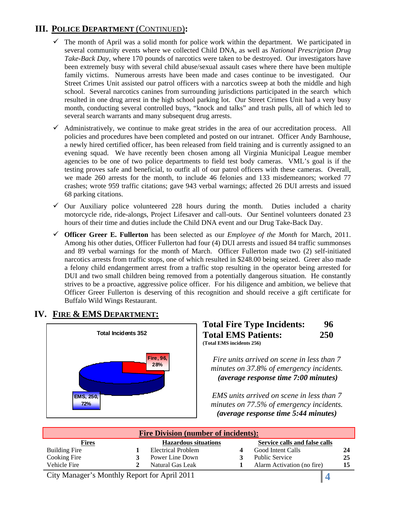### **III. POLICE DEPARTMENT** (CONTINUED)**:**

- $\checkmark$  The month of April was a solid month for police work within the department. We participated in several community events where we collected Child DNA, as well as *National Prescription Drug Take-Back Day*, where 170 pounds of narcotics were taken to be destroyed. Our investigators have been extremely busy with several child abuse/sexual assault cases where there have been multiple family victims. Numerous arrests have been made and cases continue to be investigated. Our Street Crimes Unit assisted our patrol officers with a narcotics sweep at both the middle and high school. Several narcotics canines from surrounding jurisdictions participated in the search which resulted in one drug arrest in the high school parking lot. Our Street Crimes Unit had a very busy month, conducting several controlled buys, "knock and talks" and trash pulls, all of which led to several search warrants and many subsequent drug arrests.
- $\checkmark$  Administratively, we continue to make great strides in the area of our accreditation process. All policies and procedures have been completed and posted on our intranet. Officer Andy Barnhouse, a newly hired certified officer, has been released from field training and is currently assigned to an evening squad. We have recently been chosen among all Virginia Municipal League member agencies to be one of two police departments to field test body cameras. VML's goal is if the testing proves safe and beneficial, to outfit all of our patrol officers with these cameras. Overall, we made 260 arrests for the month, to include 46 felonies and 133 misdemeanors; worked 77 crashes; wrote 959 traffic citations; gave 943 verbal warnings; affected 26 DUI arrests and issued 68 parking citations.
- $\checkmark$  Our Auxiliary police volunteered 228 hours during the month. Duties included a charity motorcycle ride, ride-alongs, Project Lifesaver and call-outs. Our Sentinel volunteers donated 23 hours of their time and duties include the Child DNA event and our Drug Take-Back Day.
- 9 **Officer Greer E. Fullerton** has been selected as our *Employee of the Month* for March, 2011. Among his other duties, Officer Fullerton had four (4) DUI arrests and issued 84 traffic summonses and 89 verbal warnings for the month of March. Officer Fullerton made two (2) self-initiated narcotics arrests from traffic stops, one of which resulted in \$248.00 being seized. Greer also made a felony child endangerment arrest from a traffic stop resulting in the operator being arrested for DUI and two small children being removed from a potentially dangerous situation. He constantly strives to be a proactive, aggressive police officer. For his diligence and ambition, we believe that Officer Greer Fullerton is deserving of this recognition and should receive a gift certificate for Buffalo Wild Wings Restaurant.

# **IV. FIRE & EMS DEPARTMENT:**



| <b>Total Fire Type Incidents:</b> | 96         |
|-----------------------------------|------------|
| <b>Total EMS Patients:</b>        | <b>250</b> |
| (Total EMS incidents 256)         |            |

*Fire units arrived on scene in less than 7 minutes on 37.8% of emergency incidents.*  <sup>U</sup>*(average response time 7:00 minutes)*

*EMS units arrived on scene in less than 7 minutes on 77.5% of emergency incidents.*  <sup>U</sup>*(average response time 5:44 minutes)* 

| <b>Fire Division (number of incidents):</b> |  |                             |  |                               |    |  |  |
|---------------------------------------------|--|-----------------------------|--|-------------------------------|----|--|--|
| <b>Fires</b>                                |  | <b>Hazardous situations</b> |  | Service calls and false calls |    |  |  |
| <b>Building Fire</b>                        |  | Electrical Problem          |  | <b>Good Intent Calls</b>      | 24 |  |  |
| Cooking Fire                                |  | Power Line Down             |  | <b>Public Service</b>         | 25 |  |  |
| Vehicle Fire                                |  | Natural Gas Leak            |  | Alarm Activation (no fire)    | 15 |  |  |

City Manager's Monthly Report for April 2011 **4**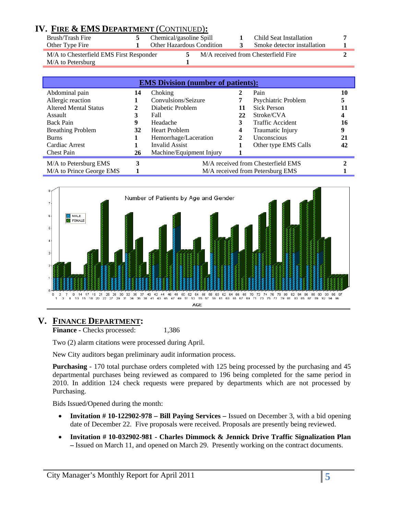| Brush/Trash Fire<br>Chemical/gasoline Spill<br>Child Seat Installation<br><b>Other Hazardous Condition</b><br>Smoke detector installation<br>Other Type Fire<br>M/A to Chesterfield EMS First Responder<br>M/A received from Chesterfield Fire<br>M/A to Petersburg | IV. FIRE & EMS DEPARTMENT (CONTINUED): |  |  |  |
|---------------------------------------------------------------------------------------------------------------------------------------------------------------------------------------------------------------------------------------------------------------------|----------------------------------------|--|--|--|
|                                                                                                                                                                                                                                                                     |                                        |  |  |  |
|                                                                                                                                                                                                                                                                     |                                        |  |  |  |
|                                                                                                                                                                                                                                                                     |                                        |  |  |  |

|                              |    | <b>EMS Division (number of patients):</b> |    |                                    |    |
|------------------------------|----|-------------------------------------------|----|------------------------------------|----|
| Abdominal pain               | 14 | Choking                                   |    | Pain                               | 10 |
| Allergic reaction            |    | Convulsions/Seizure                       |    | Psychiatric Problem                | 5  |
| <b>Altered Mental Status</b> | 2  | Diabetic Problem                          | 11 | <b>Sick Person</b>                 |    |
| Assault                      | 3  | Fall                                      | 22 | Stroke/CVA                         |    |
| <b>Back Pain</b>             | 9  | Headache                                  | 3  | Traffic Accident                   | 16 |
| <b>Breathing Problem</b>     | 32 | <b>Heart Problem</b>                      | 4  | Traumatic Injury                   | 9  |
| <b>Burns</b>                 |    | Hemorrhage/Laceration                     | 2  | <b>Unconscious</b>                 | 21 |
| Cardiac Arrest               |    | <b>Invalid Assist</b>                     |    | Other type EMS Calls               | 42 |
| <b>Chest Pain</b>            | 26 | Machine/Equipment Injury                  |    |                                    |    |
| M/A to Petersburg EMS        | 3  |                                           |    | M/A received from Chesterfield EMS |    |
| M/A to Prince George EMS     |    |                                           |    | M/A received from Petersburg EMS   |    |



### **V. FINANCE DEPARTMENT:**

**Finance - Checks processed:** 1,386

Two (2) alarm citations were processed during April.

New City auditors began preliminary audit information process.

**Purchasing** - 170 total purchase orders completed with 125 being processed by the purchasing and 45 departmental purchases being reviewed as compared to 196 being completed for the same period in 2010. In addition 124 check requests were prepared by departments which are not processed by Purchasing.

Bids Issued/Opened during the month:

- **Invitation # 10-122902-978 Bill Paying Services** Issued on December 3, with a bid opening date of December 22. Five proposals were received. Proposals are presently being reviewed.
- **Invitation # 10-032902-981 Charles Dimmock & Jennick Drive Traffic Signalization Plan –** Issued on March 11, and opened on March 29. Presently working on the contract documents.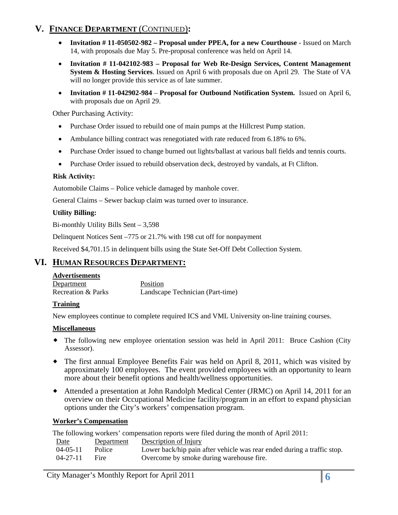### **V. FINANCE DEPARTMENT** (CONTINUED)**:**

- **Invitation # 11-050502-982 Proposal under PPEA, for a new Courthouse** Issued on March 14, with proposals due May 5. Pre-proposal conference was held on April 14.
- **Invitation # 11-042102-983 Proposal for Web Re-Design Services, Content Management System & Hosting Services**. Issued on April 6 with proposals due on April 29. The State of VA will no longer provide this service as of late summer.
- **Invitation # 11-042902-984 Proposal for Outbound Notification System.** Issued on April 6, with proposals due on April 29.

Other Purchasing Activity:

- Purchase Order issued to rebuild one of main pumps at the Hillcrest Pump station.
- Ambulance billing contract was renegotiated with rate reduced from 6.18% to 6%.
- Purchase Order issued to change burned out lights/ballast at various ball fields and tennis courts.
- Purchase Order issued to rebuild observation deck, destroyed by vandals, at Ft Clifton.

### **Risk Activity:**

Automobile Claims – Police vehicle damaged by manhole cover.

General Claims – Sewer backup claim was turned over to insurance.

### **Utility Billing:**

Bi-monthly Utility Bills Sent – 3,598

Delinquent Notices Sent –775 or 21.7% with 198 cut off for nonpayment

Received \$4,701.15 in delinquent bills using the State Set-Off Debt Collection System.

### **VI. HUMAN RESOURCES DEPARTMENT:**

#### **Advertisements**

Department Position Recreation & Parks Landscape Technician (Part-time)

#### **Training**

New employees continue to complete required ICS and VML University on-line training courses.

#### **Miscellaneous**

- The following new employee orientation session was held in April 2011: Bruce Cashion (City Assessor).
- The first annual Employee Benefits Fair was held on April 8, 2011, which was visited by approximately 100 employees. The event provided employees with an opportunity to learn more about their benefit options and health/wellness opportunities.
- Attended a presentation at John Randolph Medical Center (JRMC) on April 14, 2011 for an overview on their Occupational Medicine facility/program in an effort to expand physician options under the City's workers' compensation program.

#### **Worker's Compensation**

The following workers' compensation reports were filed during the month of April 2011: Date Department Description of Injury 04-05-11 Police Lower back/hip pain after vehicle was rear ended during a traffic stop.

04-27-11 Fire Overcome by smoke during warehouse fire.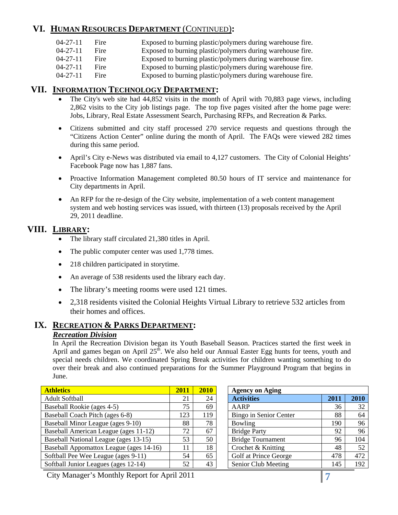### **VI. HUMAN RESOURCES DEPARTMENT** (CONTINUED)**:**

| 04-27-11 Fire |  | Exposed to burning plastic/polymers during warehouse fire. |
|---------------|--|------------------------------------------------------------|
|---------------|--|------------------------------------------------------------|

04-27-11 Fire Exposed to burning plastic/polymers during warehouse fire.

04-27-11 Fire Exposed to burning plastic/polymers during warehouse fire.

- 04-27-11 Fire Exposed to burning plastic/polymers during warehouse fire.
- 04-27-11 Fire Exposed to burning plastic/polymers during warehouse fire.

### **VII. INFORMATION TECHNOLOGY DEPARTMENT:**

- The City's web site had 44,852 visits in the month of April with 70,883 page views, including 2,862 visits to the City job listings page. The top five pages visited after the home page were: Jobs, Library, Real Estate Assessment Search, Purchasing RFPs, and Recreation & Parks.
- Citizens submitted and city staff processed 270 service requests and questions through the "Citizens Action Center" online during the month of April. The FAQs were viewed 282 times during this same period.
- April's City e-News was distributed via email to 4,127 customers. The City of Colonial Heights' Facebook Page now has 1,887 fans.
- Proactive Information Management completed 80.50 hours of IT service and maintenance for City departments in April.
- An RFP for the re-design of the City website, implementation of a web content management system and web hosting services was issued, with thirteen (13) proposals received by the April 29, 2011 deadline.

### **VIII. LIBRARY:**

- The library staff circulated 21,380 titles in April.
- The public computer center was used 1,778 times.
- 218 children participated in storytime.
- An average of 538 residents used the library each day.
- The library's meeting rooms were used 121 times.
- 2,318 residents visited the Colonial Heights Virtual Library to retrieve 532 articles from their homes and offices.

### **IX. RECREATION & PARKS DEPARTMENT:** *Recreation Division*

In April the Recreation Division began its Youth Baseball Season. Practices started the first week in April and games began on April  $25<sup>th</sup>$ . We also held our Annual Easter Egg hunts for teens, youth and special needs children. We coordinated Spring Break activities for children wanting something to do over their break and also continued preparations for the Summer Playground Program that begins in June.

| <b>Athletics</b>                        | 2011 | 2010 | <b>Agency on Aging</b>   |      |      |
|-----------------------------------------|------|------|--------------------------|------|------|
| <b>Adult Softball</b>                   | 21   | 24   | <b>Activities</b>        | 2011 | 2010 |
| Baseball Rookie (ages 4-5)              | 75   | 69   | AARP                     | 36   | 32   |
| Baseball Coach Pitch (ages 6-8)         | 123  | 119  | Bingo in Senior Center   | 88   | 64   |
| Baseball Minor League (ages 9-10)       | 88   | 78   | Bowling                  | 190  | 96   |
| Baseball American League (ages 11-12)   | 72   | 67   | <b>Bridge Party</b>      | 92   | 96   |
| Baseball National League (ages 13-15)   | 53   | 50   | <b>Bridge Tournament</b> | 96   | 104  |
| Baseball Appomattox League (ages 14-16) | 11   | 18   | Crochet & Knitting       | 48   | 52   |
| Softball Pee Wee League (ages 9-11)     | 54   | 65   | Golf at Prince George    | 478  | 472  |
| Softball Junior Leagues (ages 12-14)    | 52   | 43   | Senior Club Meeting      | 145  | 192  |

City Manager's Monthly Report for April 2011 **7**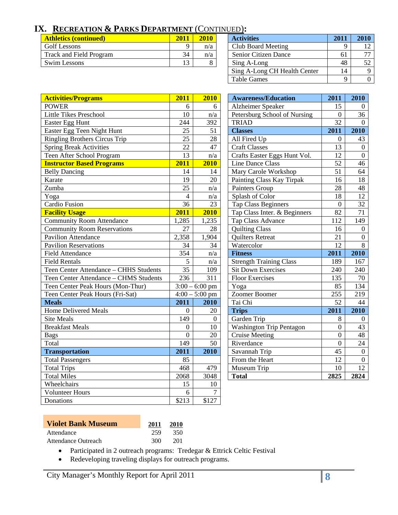# **IX. RECREATION & PARKS DEPARTMENT** (CONTINUED)**:**

| <b>Athletics (continued)</b>   | 2011 | 2010 | <b>Activities</b>           | 201 | 2010 |
|--------------------------------|------|------|-----------------------------|-----|------|
| Golf Lessons                   |      | n/a  | Club Board Meeting          |     | 12   |
| <b>Track and Field Program</b> | 34   | n/a  | <b>Senior Citizen Dance</b> | 61  | 77   |
| <b>Swim Lessons</b>            |      |      | Sing A-Long                 | 48  | 52   |

| <b>Athletics (continued)</b>   | 2011 | 2010 | <b>Activities</b>            | 201 | 2010 |
|--------------------------------|------|------|------------------------------|-----|------|
| <b>Golf Lessons</b>            |      | n/a  | Club Board Meeting           |     |      |
| <b>Track and Field Program</b> | 34   | n/a  | Senior Citizen Dance         | 61  | 77   |
| Swim Lessons                   | 13   |      | Sing A-Long                  | 48  | 52   |
|                                |      |      | Sing A-Long CH Health Center | 14  |      |
|                                |      |      | <b>Table Games</b>           | Q   |      |

| <b>Activities/Programs</b>             | 2011            | 2010                    | <b>Awareness/Education</b>      | 2011             | 2010             |
|----------------------------------------|-----------------|-------------------------|---------------------------------|------------------|------------------|
| <b>POWER</b>                           | 6               | 6                       | Alzheimer Speaker               | 15               | $\boldsymbol{0}$ |
| <b>Little Tikes Preschool</b>          | 10              | n/a                     | Petersburg School of Nursing    | $\Omega$         | 36               |
| Easter Egg Hunt                        | 244             | 392                     | <b>TRIAD</b>                    | 32               | $\overline{0}$   |
| Easter Egg Teen Night Hunt             | 25              | 51                      | <b>Classes</b>                  | 2011             | 2010             |
| <b>Ringling Brothers Circus Trip</b>   | 25              | 28                      | All Fired Up                    | $\overline{0}$   | 43               |
| <b>Spring Break Activities</b>         | 22              | 47                      | <b>Craft Classes</b>            | 13               | $\boldsymbol{0}$ |
| Teen After School Program              | 13              | n/a                     | Crafts Easter Eggs Hunt Vol.    | 12               | $\overline{0}$   |
| <b>Instructor Based Programs</b>       | 2011            | 2010                    | Line Dance Class                | 52               | 46               |
| <b>Belly Dancing</b>                   | 14              | 14                      | Mary Carole Workshop            | 51               | 64               |
| Karate                                 | 19              | 20                      | Painting Class Kay Tirpak       | 16               | 18               |
| Zumba                                  | $\overline{25}$ | n/a                     | Painters Group                  | 28               | 48               |
| Yoga                                   | $\overline{4}$  | n/a                     | Splash of Color                 | 18               | 12               |
| Cardio Fusion                          | 36              | 23                      | <b>Tap Class Beginners</b>      | $\boldsymbol{0}$ | 32               |
| <b>Facility Usage</b>                  | 2011            | 2010                    | Tap Class Inter. & Beginners    | 82               | 71               |
| <b>Community Room Attendance</b>       | 1,285           | 1,235                   | Tap Class Advance               | 112              | 149              |
| <b>Community Room Reservations</b>     | 27              | 28                      | <b>Quilting Class</b>           | 16               | $\overline{0}$   |
| <b>Pavilion Attendance</b>             | 2,358           | 1,904                   | <b>Quilters Retreat</b>         | 21               | $\boldsymbol{0}$ |
| <b>Pavilion Reservations</b>           | 34              | 34                      | Watercolor                      | 12               | 8                |
|                                        |                 |                         |                                 |                  |                  |
| <b>Field Attendance</b>                | 354             | n/a                     | <b>Fitness</b>                  | 2011             | 2010             |
| <b>Field Rentals</b>                   | 5               | n/a                     | <b>Strength Training Class</b>  | 189              | 167              |
| Teen Center Attendance - CHHS Students | 35              | 109                     | <b>Sit Down Exercises</b>       | 240              | 240              |
| Teen Center Attendance - CHMS Students | 236             | 311                     | <b>Floor Exercises</b>          | 135              | 70               |
| Teen Center Peak Hours (Mon-Thur)      |                 | $3:00 - 6:00$ pm        | Yoga                            | 85               | 134              |
| Teen Center Peak Hours (Fri-Sat)       |                 | $4:00 - 5:00$ pm        | Zoomer Boomer                   | 255              | 219              |
| <b>Meals</b>                           | 2011            | 2010                    | Tai Chi                         | 52               | 44               |
| <b>Home Delivered Meals</b>            | $\theta$        | 20                      | <b>Trips</b>                    | 2011             | 2010             |
| <b>Site Meals</b>                      | 149             | $\overline{0}$          | Garden Trip                     | 8                | $\boldsymbol{0}$ |
| <b>Breakfast Meals</b>                 | $\overline{0}$  | 10                      | <b>Washington Trip Pentagon</b> | $\theta$         | 43               |
| <b>Bags</b>                            | $\overline{0}$  | 20                      | <b>Cruise Meeting</b>           | $\overline{0}$   | 48               |
| Total                                  | 149             | 50                      | Riverdance                      | $\overline{0}$   | 24               |
| <b>Transportation</b>                  | 2011            | 2010                    | Savannah Trip                   | 45               | $\boldsymbol{0}$ |
| <b>Total Passengers</b>                | 85              |                         | From the Heart                  | 12               | $\overline{0}$   |
| <b>Total Trips</b>                     | 468             | 479                     | Museum Trip                     | 10               | $\overline{12}$  |
| <b>Total Miles</b>                     | 2068            | 3048                    | <b>Total</b>                    | 2825             | 2824             |
| Wheelchairs                            | 15              | 10                      |                                 |                  |                  |
| <b>Volunteer Hours</b>                 | 6               | $\overline{7}$<br>\$127 |                                 |                  |                  |

| <b>Awareness/Education</b>      | 2011             | 2010     |
|---------------------------------|------------------|----------|
| Alzheimer Speaker               | 15               | 0        |
| Petersburg School of Nursing    | $\boldsymbol{0}$ | 36       |
| <b>TRIAD</b>                    | $\overline{32}$  | 0        |
| <b>Classes</b>                  | 2011             | 2010     |
| All Fired Up                    | 0                | 43       |
| <b>Craft Classes</b>            | 13               | $\theta$ |
| Crafts Easter Eggs Hunt Vol.    | $\overline{12}$  | $\theta$ |
| <b>Line Dance Class</b>         | 52               | 46       |
| Mary Carole Workshop            | 51               | 64       |
| Painting Class Kay Tirpak       | 16               | 18       |
| Painters Group                  | 28               | 48       |
| Splash of Color                 | 18               | 12       |
| <b>Tap Class Beginners</b>      | $\overline{0}$   | 32       |
| Tap Class Inter. & Beginners    | 82               | 71       |
| Tap Class Advance               | 112              | 149      |
| <b>Quilting Class</b>           | 16               | 0        |
| <b>Quilters Retreat</b>         | 21               | 0        |
| Watercolor                      | 12               | 8        |
| <b>Fitness</b>                  | 2011             | 2010     |
| <b>Strength Training Class</b>  | 189              | 167      |
| <b>Sit Down Exercises</b>       | 240              | 240      |
| <b>Floor Exercises</b>          | 135              | 70       |
| Yoga                            | 85               | 134      |
| Zoomer Boomer                   | 255              | 219      |
| Tai Chi                         | 52               | 44       |
| <b>Trips</b>                    | 2011             | 2010     |
| Garden Trip                     | 8                | 0        |
| <b>Washington Trip Pentagon</b> | $\overline{0}$   | 43       |
| <b>Cruise Meeting</b>           | 0                | 48       |
| Riverdance                      | $\theta$         | 24       |
| Savannah Trip                   | 45               | 0        |
| From the Heart                  | 12               | 0        |
| Museum Trip                     | 10               | 12       |
| <b>Total</b>                    | 2825             | 2824     |

| <b>Violet Bank Museum</b> | 2011 | 2010 |
|---------------------------|------|------|
| Attendance                | 259  | 350  |
| Attendance Outreach       | 300  | 201  |

• Participated in 2 outreach programs: Tredegar & Ettrick Celtic Festival

• Redeveloping traveling displays for outreach programs.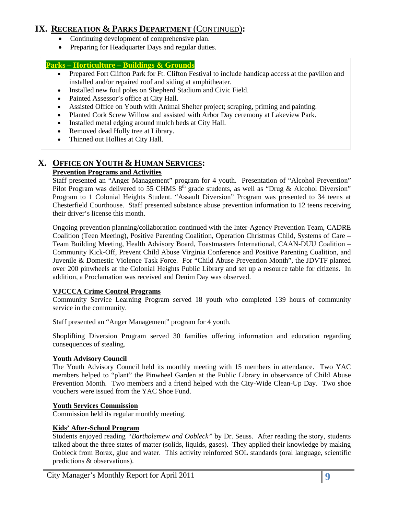### **IX. RECREATION & PARKS DEPARTMENT** (CONTINUED)**:**

- Continuing development of comprehensive plan.
- Preparing for Headquarter Days and regular duties.

### **Parks – Horticulture – Buildings & Grounds**

- Prepared Fort Clifton Park for Ft. Clifton Festival to include handicap access at the pavilion and installed and/or repaired roof and siding at amphitheater.
- Installed new foul poles on Shepherd Stadium and Civic Field.
- Painted Assessor's office at City Hall.
- Assisted Office on Youth with Animal Shelter project; scraping, priming and painting.
- Planted Cork Screw Willow and assisted with Arbor Day ceremony at Lakeview Park.
- Installed metal edging around mulch beds at City Hall.
- Removed dead Holly tree at Library.
- Thinned out Hollies at City Hall.

# **X. OFFICE ON YOUTH & HUMAN SERVICES:**

### **Prevention Programs and Activities**

Staff presented an "Anger Management" program for 4 youth. Presentation of "Alcohol Prevention" Pilot Program was delivered to 55 CHMS  $8^{th}$  grade students, as well as "Drug & Alcohol Diversion" Program to 1 Colonial Heights Student. "Assault Diversion" Program was presented to 34 teens at Chesterfield Courthouse. Staff presented substance abuse prevention information to 12 teens receiving their driver's license this month.

Ongoing prevention planning/collaboration continued with the Inter-Agency Prevention Team, CADRE Coalition (Teen Meeting), Positive Parenting Coalition, Operation Christmas Child, Systems of Care – Team Building Meeting, Health Advisory Board, Toastmasters International, CAAN-DUU Coalition – Community Kick-Off, Prevent Child Abuse Virginia Conference and Positive Parenting Coalition, and Juvenile & Domestic Violence Task Force. For "Child Abuse Prevention Month", the JDVTF planted over 200 pinwheels at the Colonial Heights Public Library and set up a resource table for citizens. In addition, a Proclamation was received and Denim Day was observed.

### **VJCCCA Crime Control Programs**

Community Service Learning Program served 18 youth who completed 139 hours of community service in the community.

Staff presented an "Anger Management" program for 4 youth.

Shoplifting Diversion Program served 30 families offering information and education regarding consequences of stealing.

#### **Youth Advisory Council**

The Youth Advisory Council held its monthly meeting with 15 members in attendance. Two YAC members helped to "plant" the Pinwheel Garden at the Public Library in observance of Child Abuse Prevention Month. Two members and a friend helped with the City-Wide Clean-Up Day. Two shoe vouchers were issued from the YAC Shoe Fund.

### **Youth Services Commission**

Commission held its regular monthly meeting.

#### **Kids' After-School Program**

Students enjoyed reading *"Bartholemew and Oobleck"* by Dr. Seuss. After reading the story, students talked about the three states of matter (solids, liquids, gases). They applied their knowledge by making Oobleck from Borax, glue and water. This activity reinforced SOL standards (oral language, scientific predictions & observations).